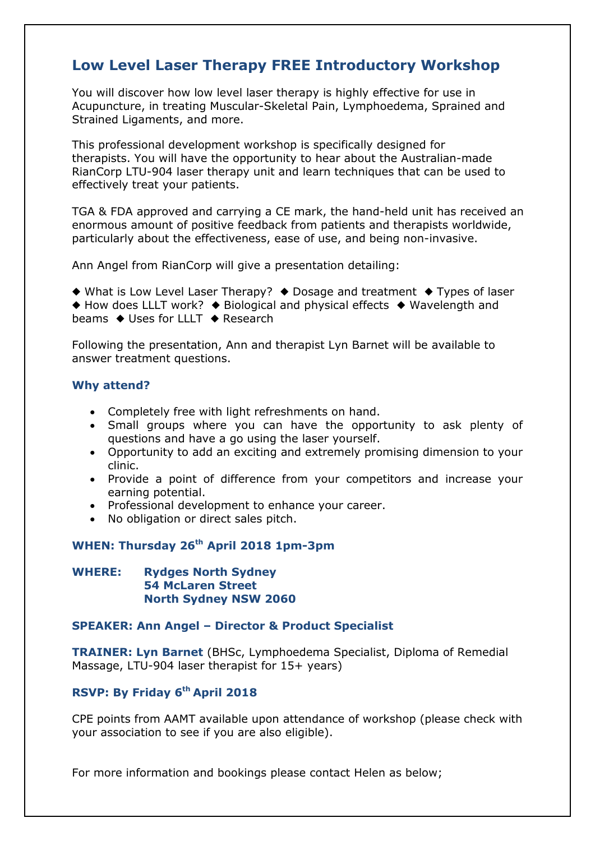# **Low Level Laser Therapy FREE Introductory Workshop**

You will discover how low level laser therapy is highly effective for use in Acupuncture, in treating Muscular-Skeletal Pain, Lymphoedema, Sprained and Strained Ligaments, and more.

This professional development workshop is specifically designed for therapists. You will have the opportunity to hear about the Australian-made RianCorp LTU-904 laser therapy unit and learn techniques that can be used to effectively treat your patients.

TGA & FDA approved and carrying a CE mark, the hand-held unit has received an enormous amount of positive feedback from patients and therapists worldwide, particularly about the effectiveness, ease of use, and being non-invasive.

Ann Angel from RianCorp will give a presentation detailing:

 $\triangle$  What is Low Level Laser Therapy?  $\triangle$  Dosage and treatment  $\triangle$  Types of laser  $\triangle$  How does LLLT work?  $\triangle$  Biological and physical effects  $\triangle$  Wavelength and beams  $\triangleleft$  Uses for LLLT  $\triangleleft$  Research

Following the presentation, Ann and therapist Lyn Barnet will be available to answer treatment questions.

#### **Why attend?**

- Completely free with light refreshments on hand.
- Small groups where you can have the opportunity to ask plenty of questions and have a go using the laser yourself.
- Opportunity to add an exciting and extremely promising dimension to your clinic.
- Provide a point of difference from your competitors and increase your earning potential.
- Professional development to enhance your career.
- No obligation or direct sales pitch.

#### **WHEN: Thursday 26th April 2018 1pm-3pm**

#### **WHERE: Rydges North Sydney 54 McLaren Street North Sydney NSW 2060**

#### **SPEAKER: Ann Angel – Director & Product Specialist**

**TRAINER: Lyn Barnet** (BHSc, Lymphoedema Specialist, Diploma of Remedial Massage, LTU-904 laser therapist for 15+ years)

### **RSVP: By Friday 6 th April 2018**

CPE points from AAMT available upon attendance of workshop (please check with your association to see if you are also eligible).

For more information and bookings please contact Helen as below;